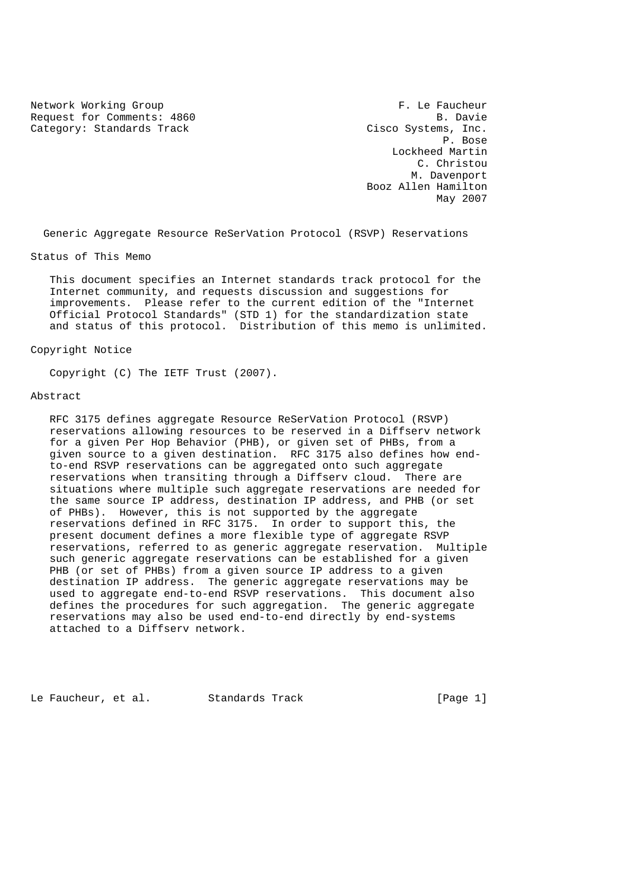Network Working Group F. Le Faucheur Request for Comments: 4860 B. Davie Category: Standards Track Cisco Systems, Inc.

 P. Bose Lockheed Martin C. Christou M. Davenport Booz Allen Hamilton May 2007

Generic Aggregate Resource ReSerVation Protocol (RSVP) Reservations

Status of This Memo

 This document specifies an Internet standards track protocol for the Internet community, and requests discussion and suggestions for improvements. Please refer to the current edition of the "Internet Official Protocol Standards" (STD 1) for the standardization state and status of this protocol. Distribution of this memo is unlimited.

Copyright Notice

Copyright (C) The IETF Trust (2007).

#### Abstract

 RFC 3175 defines aggregate Resource ReSerVation Protocol (RSVP) reservations allowing resources to be reserved in a Diffserv network for a given Per Hop Behavior (PHB), or given set of PHBs, from a given source to a given destination. RFC 3175 also defines how end to-end RSVP reservations can be aggregated onto such aggregate reservations when transiting through a Diffserv cloud. There are situations where multiple such aggregate reservations are needed for the same source IP address, destination IP address, and PHB (or set of PHBs). However, this is not supported by the aggregate reservations defined in RFC 3175. In order to support this, the present document defines a more flexible type of aggregate RSVP reservations, referred to as generic aggregate reservation. Multiple such generic aggregate reservations can be established for a given PHB (or set of PHBs) from a given source IP address to a given destination IP address. The generic aggregate reservations may be used to aggregate end-to-end RSVP reservations. This document also defines the procedures for such aggregation. The generic aggregate reservations may also be used end-to-end directly by end-systems attached to a Diffserv network.

Le Faucheur, et al. Standards Track [Page 1]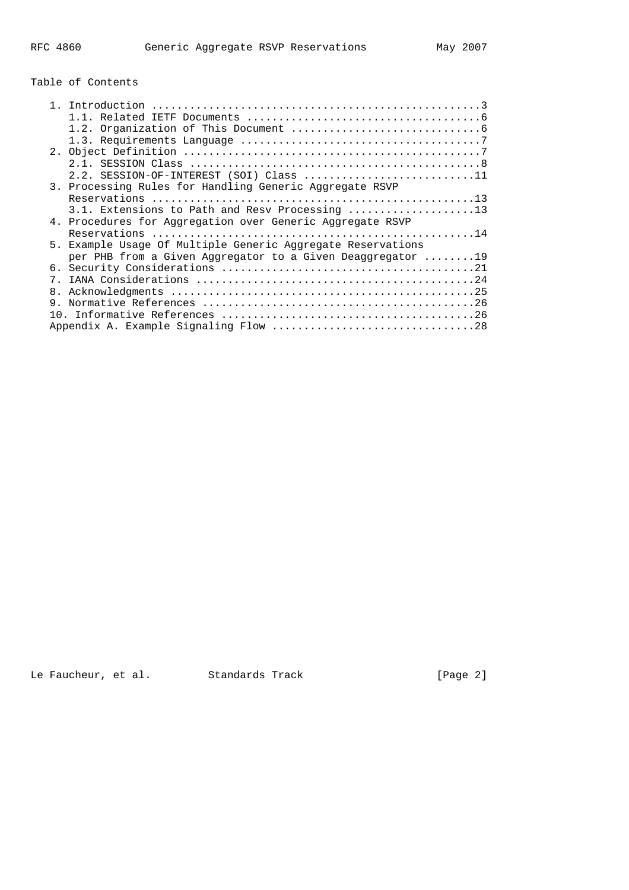# Table of Contents

|    | $2.2.$ SESSION-OF-INTEREST (SOI) Class 11                                                                 |
|----|-----------------------------------------------------------------------------------------------------------|
|    | 3. Processing Rules for Handling Generic Aggregate RSVP                                                   |
|    |                                                                                                           |
|    | 3.1. Extensions to Path and Resy Processing 13                                                            |
|    | 4. Procedures for Aggregation over Generic Aggregate RSVP                                                 |
|    | Reservations $\ldots \ldots \ldots \ldots \ldots \ldots \ldots \ldots \ldots \ldots \ldots \ldots \ldots$ |
|    | 5. Example Usage Of Multiple Generic Aggregate Reservations                                               |
|    | per PHB from a Given Aggregator to a Given Deaggregator 19                                                |
|    |                                                                                                           |
|    |                                                                                                           |
| 8. |                                                                                                           |
| 9. |                                                                                                           |
|    |                                                                                                           |
|    |                                                                                                           |

Le Faucheur, et al. Standards Track [Page 2]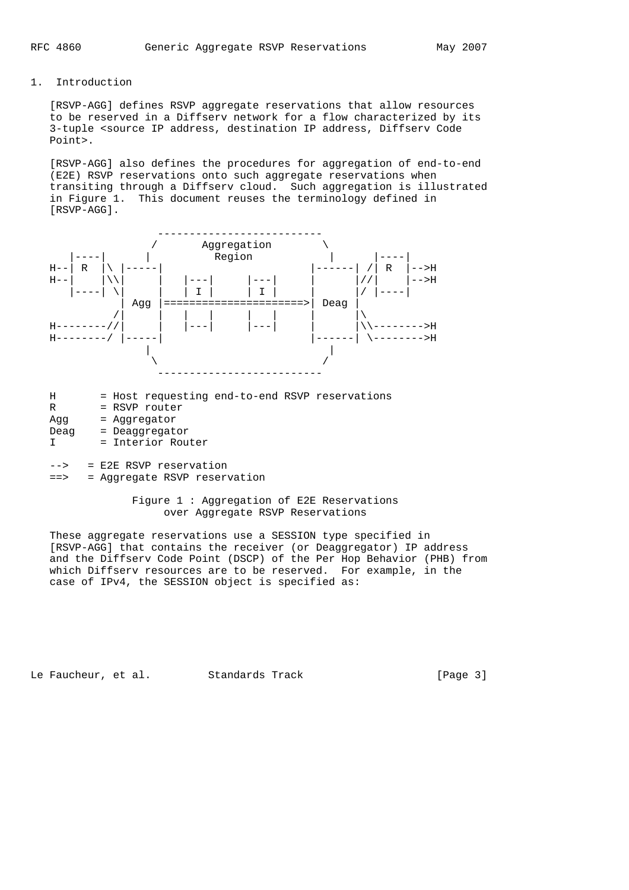### 1. Introduction

 [RSVP-AGG] defines RSVP aggregate reservations that allow resources to be reserved in a Diffserv network for a flow characterized by its 3-tuple <source IP address, destination IP address, Diffserv Code Point>.

 [RSVP-AGG] also defines the procedures for aggregation of end-to-end (E2E) RSVP reservations onto such aggregate reservations when transiting through a Diffserv cloud. Such aggregation is illustrated in Figure 1. This document reuses the terminology defined in [RSVP-AGG].



- I = Interior Router
- --> = E2E RSVP reservation
- ==> = Aggregate RSVP reservation

 Figure 1 : Aggregation of E2E Reservations over Aggregate RSVP Reservations

 These aggregate reservations use a SESSION type specified in [RSVP-AGG] that contains the receiver (or Deaggregator) IP address and the Diffserv Code Point (DSCP) of the Per Hop Behavior (PHB) from which Diffserv resources are to be reserved. For example, in the case of IPv4, the SESSION object is specified as:

Le Faucheur, et al. Standards Track [Page 3]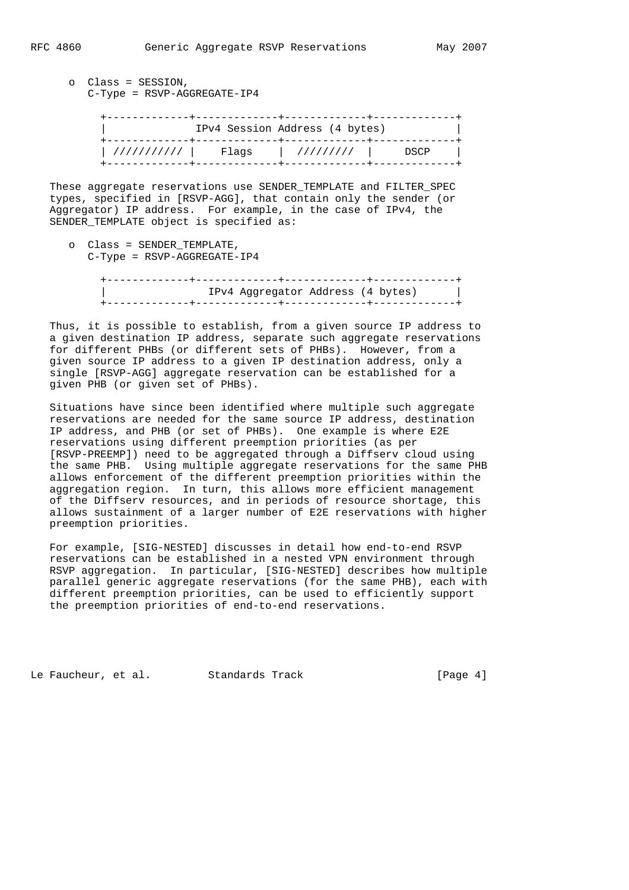o Class = SESSION, C-Type = RSVP-AGGREGATE-IP4

|             |       | IPv4 Session Address (4 bytes) |      |
|-------------|-------|--------------------------------|------|
| /////////// | Flaqs | $\left  \frac{1}{1} \right $   | DSCP |

These aggregate reservations use SENDER TEMPLATE and FILTER SPEC types, specified in [RSVP-AGG], that contain only the sender (or Aggregator) IP address. For example, in the case of IPv4, the SENDER\_TEMPLATE object is specified as:

 o Class = SENDER\_TEMPLATE, C-Type = RSVP-AGGREGATE-IP4

> +-------------+-------------+-------------+-------------+ | IPv4 Aggregator Address (4 bytes) | +-------------+-------------+-------------+-------------+

 Thus, it is possible to establish, from a given source IP address to a given destination IP address, separate such aggregate reservations for different PHBs (or different sets of PHBs). However, from a given source IP address to a given IP destination address, only a single [RSVP-AGG] aggregate reservation can be established for a given PHB (or given set of PHBs).

 Situations have since been identified where multiple such aggregate reservations are needed for the same source IP address, destination IP address, and PHB (or set of PHBs). One example is where E2E reservations using different preemption priorities (as per [RSVP-PREEMP]) need to be aggregated through a Diffserv cloud using the same PHB. Using multiple aggregate reservations for the same PHB allows enforcement of the different preemption priorities within the aggregation region. In turn, this allows more efficient management of the Diffserv resources, and in periods of resource shortage, this allows sustainment of a larger number of E2E reservations with higher preemption priorities.

 For example, [SIG-NESTED] discusses in detail how end-to-end RSVP reservations can be established in a nested VPN environment through RSVP aggregation. In particular, [SIG-NESTED] describes how multiple parallel generic aggregate reservations (for the same PHB), each with different preemption priorities, can be used to efficiently support the preemption priorities of end-to-end reservations.

Le Faucheur, et al. Standards Track [Page 4]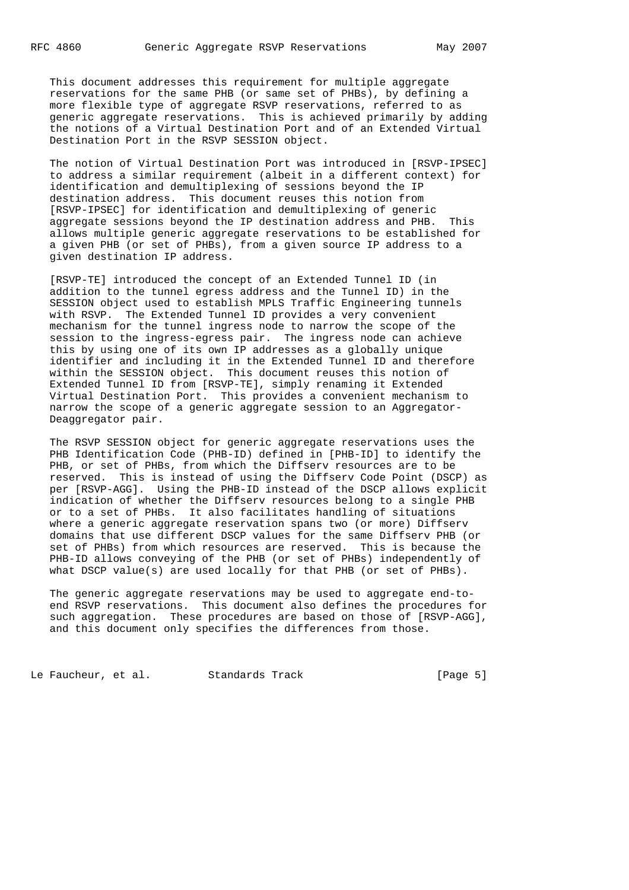This document addresses this requirement for multiple aggregate reservations for the same PHB (or same set of PHBs), by defining a more flexible type of aggregate RSVP reservations, referred to as generic aggregate reservations. This is achieved primarily by adding the notions of a Virtual Destination Port and of an Extended Virtual Destination Port in the RSVP SESSION object.

 The notion of Virtual Destination Port was introduced in [RSVP-IPSEC] to address a similar requirement (albeit in a different context) for identification and demultiplexing of sessions beyond the IP destination address. This document reuses this notion from [RSVP-IPSEC] for identification and demultiplexing of generic aggregate sessions beyond the IP destination address and PHB. This allows multiple generic aggregate reservations to be established for a given PHB (or set of PHBs), from a given source IP address to a given destination IP address.

 [RSVP-TE] introduced the concept of an Extended Tunnel ID (in addition to the tunnel egress address and the Tunnel ID) in the SESSION object used to establish MPLS Traffic Engineering tunnels with RSVP. The Extended Tunnel ID provides a very convenient mechanism for the tunnel ingress node to narrow the scope of the session to the ingress-egress pair. The ingress node can achieve this by using one of its own IP addresses as a globally unique identifier and including it in the Extended Tunnel ID and therefore within the SESSION object. This document reuses this notion of Extended Tunnel ID from [RSVP-TE], simply renaming it Extended Virtual Destination Port. This provides a convenient mechanism to narrow the scope of a generic aggregate session to an Aggregator- Deaggregator pair.

 The RSVP SESSION object for generic aggregate reservations uses the PHB Identification Code (PHB-ID) defined in [PHB-ID] to identify the PHB, or set of PHBs, from which the Diffserv resources are to be reserved. This is instead of using the Diffserv Code Point (DSCP) as per [RSVP-AGG]. Using the PHB-ID instead of the DSCP allows explicit indication of whether the Diffserv resources belong to a single PHB or to a set of PHBs. It also facilitates handling of situations where a generic aggregate reservation spans two (or more) Diffserv domains that use different DSCP values for the same Diffserv PHB (or set of PHBs) from which resources are reserved. This is because the PHB-ID allows conveying of the PHB (or set of PHBs) independently of what DSCP value(s) are used locally for that PHB (or set of PHBs).

 The generic aggregate reservations may be used to aggregate end-to end RSVP reservations. This document also defines the procedures for such aggregation. These procedures are based on those of [RSVP-AGG], and this document only specifies the differences from those.

Le Faucheur, et al. Standards Track [Page 5]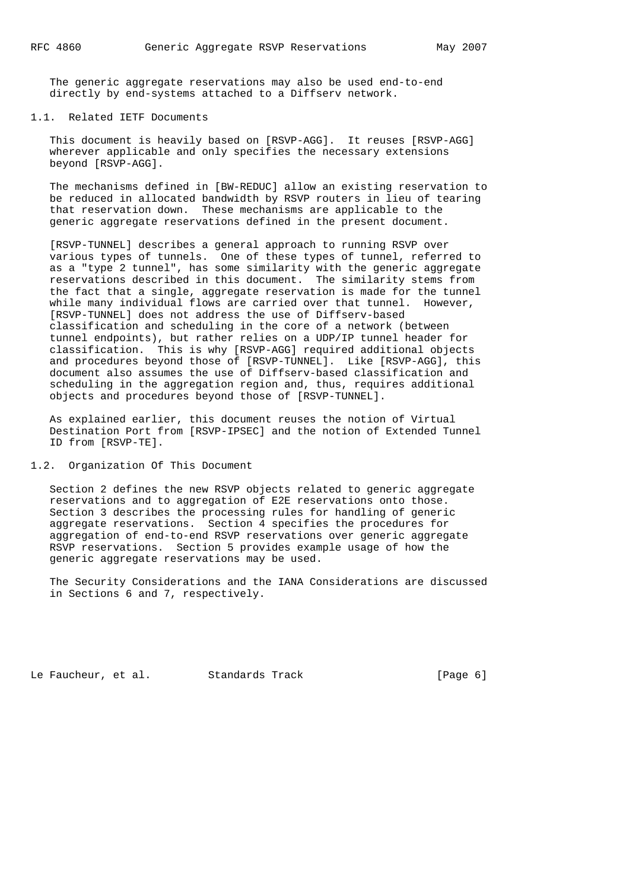The generic aggregate reservations may also be used end-to-end directly by end-systems attached to a Diffserv network.

#### 1.1. Related IETF Documents

 This document is heavily based on [RSVP-AGG]. It reuses [RSVP-AGG] wherever applicable and only specifies the necessary extensions beyond [RSVP-AGG].

 The mechanisms defined in [BW-REDUC] allow an existing reservation to be reduced in allocated bandwidth by RSVP routers in lieu of tearing that reservation down. These mechanisms are applicable to the generic aggregate reservations defined in the present document.

 [RSVP-TUNNEL] describes a general approach to running RSVP over various types of tunnels. One of these types of tunnel, referred to as a "type 2 tunnel", has some similarity with the generic aggregate reservations described in this document. The similarity stems from the fact that a single, aggregate reservation is made for the tunnel while many individual flows are carried over that tunnel. However, [RSVP-TUNNEL] does not address the use of Diffserv-based classification and scheduling in the core of a network (between tunnel endpoints), but rather relies on a UDP/IP tunnel header for classification. This is why [RSVP-AGG] required additional objects and procedures beyond those of [RSVP-TUNNEL]. Like [RSVP-AGG], this document also assumes the use of Diffserv-based classification and scheduling in the aggregation region and, thus, requires additional objects and procedures beyond those of [RSVP-TUNNEL].

 As explained earlier, this document reuses the notion of Virtual Destination Port from [RSVP-IPSEC] and the notion of Extended Tunnel ID from [RSVP-TE].

1.2. Organization Of This Document

 Section 2 defines the new RSVP objects related to generic aggregate reservations and to aggregation of E2E reservations onto those. Section 3 describes the processing rules for handling of generic aggregate reservations. Section 4 specifies the procedures for aggregation of end-to-end RSVP reservations over generic aggregate RSVP reservations. Section 5 provides example usage of how the generic aggregate reservations may be used.

 The Security Considerations and the IANA Considerations are discussed in Sections 6 and 7, respectively.

Le Faucheur, et al. Standards Track [Page 6]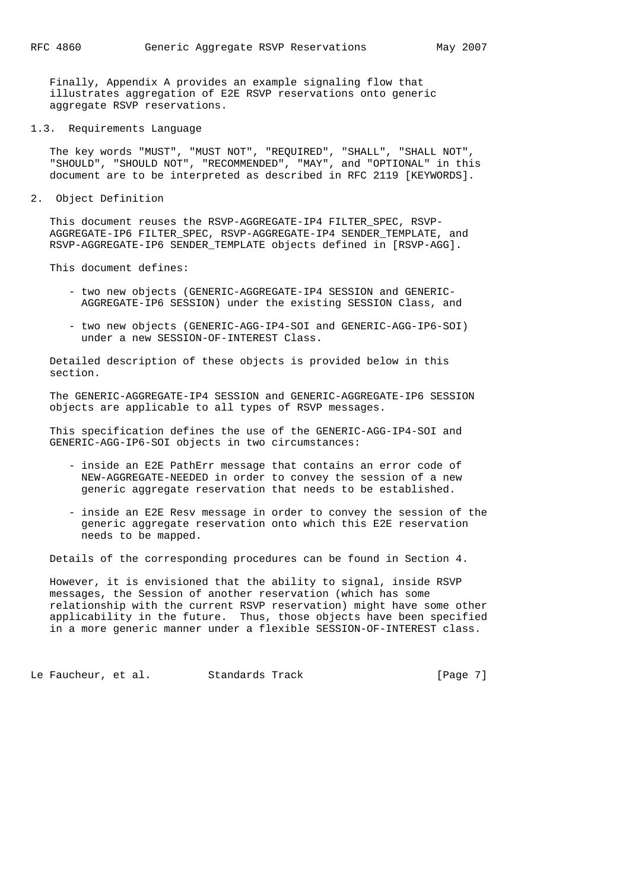Finally, Appendix A provides an example signaling flow that illustrates aggregation of E2E RSVP reservations onto generic aggregate RSVP reservations.

#### 1.3. Requirements Language

 The key words "MUST", "MUST NOT", "REQUIRED", "SHALL", "SHALL NOT", "SHOULD", "SHOULD NOT", "RECOMMENDED", "MAY", and "OPTIONAL" in this document are to be interpreted as described in RFC 2119 [KEYWORDS].

2. Object Definition

 This document reuses the RSVP-AGGREGATE-IP4 FILTER\_SPEC, RSVP- AGGREGATE-IP6 FILTER\_SPEC, RSVP-AGGREGATE-IP4 SENDER\_TEMPLATE, and RSVP-AGGREGATE-IP6 SENDER\_TEMPLATE objects defined in [RSVP-AGG].

This document defines:

- two new objects (GENERIC-AGGREGATE-IP4 SESSION and GENERIC- AGGREGATE-IP6 SESSION) under the existing SESSION Class, and
- two new objects (GENERIC-AGG-IP4-SOI and GENERIC-AGG-IP6-SOI) under a new SESSION-OF-INTEREST Class.

 Detailed description of these objects is provided below in this section.

 The GENERIC-AGGREGATE-IP4 SESSION and GENERIC-AGGREGATE-IP6 SESSION objects are applicable to all types of RSVP messages.

 This specification defines the use of the GENERIC-AGG-IP4-SOI and GENERIC-AGG-IP6-SOI objects in two circumstances:

- inside an E2E PathErr message that contains an error code of NEW-AGGREGATE-NEEDED in order to convey the session of a new generic aggregate reservation that needs to be established.
- inside an E2E Resv message in order to convey the session of the generic aggregate reservation onto which this E2E reservation needs to be mapped.

Details of the corresponding procedures can be found in Section 4.

 However, it is envisioned that the ability to signal, inside RSVP messages, the Session of another reservation (which has some relationship with the current RSVP reservation) might have some other applicability in the future. Thus, those objects have been specified in a more generic manner under a flexible SESSION-OF-INTEREST class.

Le Faucheur, et al. Standards Track [Page 7]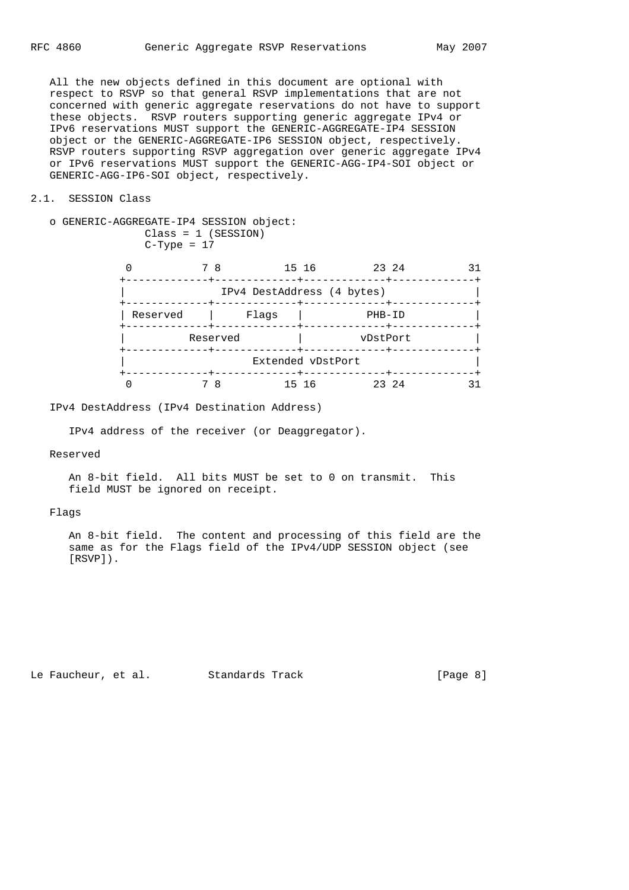All the new objects defined in this document are optional with respect to RSVP so that general RSVP implementations that are not concerned with generic aggregate reservations do not have to support these objects. RSVP routers supporting generic aggregate IPv4 or IPv6 reservations MUST support the GENERIC-AGGREGATE-IP4 SESSION object or the GENERIC-AGGREGATE-IP6 SESSION object, respectively. RSVP routers supporting RSVP aggregation over generic aggregate IPv4 or IPv6 reservations MUST support the GENERIC-AGG-IP4-SOI object or GENERIC-AGG-IP6-SOI object, respectively.

#### 2.1. SESSION Class

| O GENERIC-AGGREGATE-IP4 SESSION object: |  |
|-----------------------------------------|--|
| $Class = 1 (SESSION)$                   |  |
| $C-Tvpe = 17$                           |  |

|          | 8        | 23 24<br>15 16             |  |
|----------|----------|----------------------------|--|
|          |          | IPv4 DestAddress (4 bytes) |  |
| Reserved | Flaqs    | PHB-ID                     |  |
|          | Reserved | vDstPort                   |  |
|          |          | Extended vDstPort          |  |
|          |          | 23 24<br>1516              |  |

IPv4 DestAddress (IPv4 Destination Address)

IPv4 address of the receiver (or Deaggregator).

Reserved

 An 8-bit field. All bits MUST be set to 0 on transmit. This field MUST be ignored on receipt.

#### Flags

 An 8-bit field. The content and processing of this field are the same as for the Flags field of the IPv4/UDP SESSION object (see [RSVP]).

Le Faucheur, et al. Standards Track [Page 8]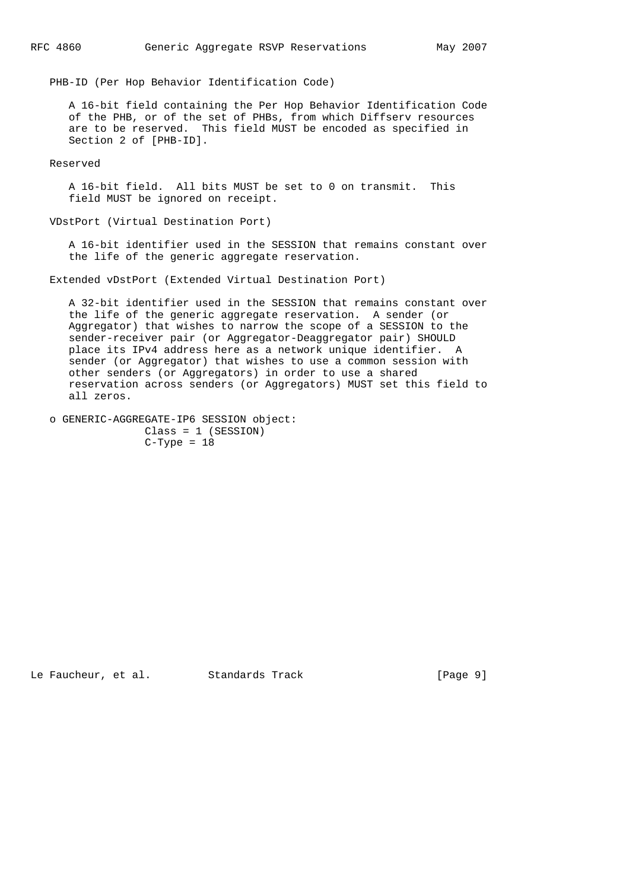PHB-ID (Per Hop Behavior Identification Code)

 A 16-bit field containing the Per Hop Behavior Identification Code of the PHB, or of the set of PHBs, from which Diffserv resources are to be reserved. This field MUST be encoded as specified in Section 2 of [PHB-ID].

Reserved

 A 16-bit field. All bits MUST be set to 0 on transmit. This field MUST be ignored on receipt.

VDstPort (Virtual Destination Port)

 A 16-bit identifier used in the SESSION that remains constant over the life of the generic aggregate reservation.

Extended vDstPort (Extended Virtual Destination Port)

 A 32-bit identifier used in the SESSION that remains constant over the life of the generic aggregate reservation. A sender (or Aggregator) that wishes to narrow the scope of a SESSION to the sender-receiver pair (or Aggregator-Deaggregator pair) SHOULD place its IPv4 address here as a network unique identifier. A sender (or Aggregator) that wishes to use a common session with other senders (or Aggregators) in order to use a shared reservation across senders (or Aggregators) MUST set this field to all zeros.

 o GENERIC-AGGREGATE-IP6 SESSION object: Class = 1 (SESSION)  $C-Type = 18$ 

Le Faucheur, et al. Standards Track [Page 9]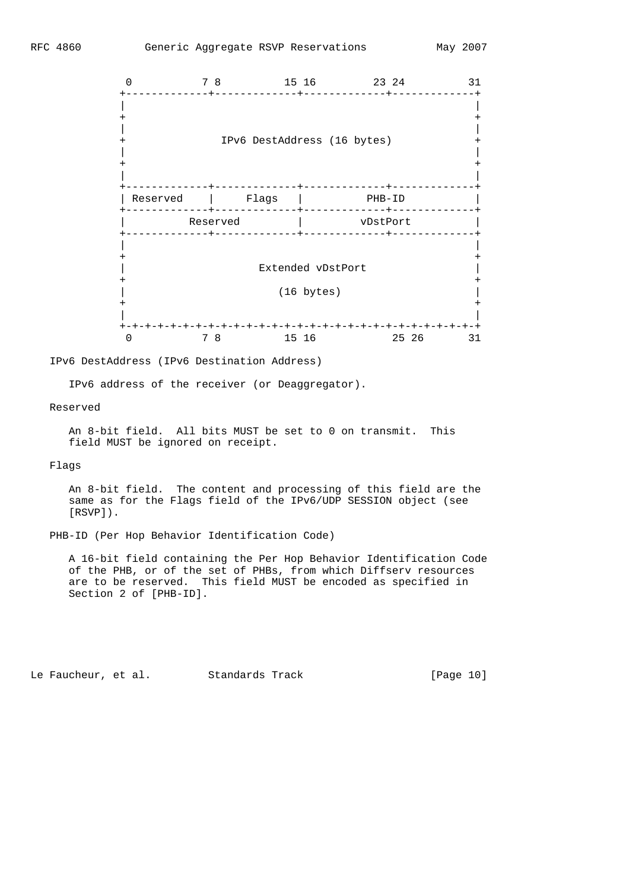

IPv6 DestAddress (IPv6 Destination Address)

IPv6 address of the receiver (or Deaggregator).

#### Reserved

 An 8-bit field. All bits MUST be set to 0 on transmit. This field MUST be ignored on receipt.

#### Flags

 An 8-bit field. The content and processing of this field are the same as for the Flags field of the IPv6/UDP SESSION object (see [RSVP]).

PHB-ID (Per Hop Behavior Identification Code)

 A 16-bit field containing the Per Hop Behavior Identification Code of the PHB, or of the set of PHBs, from which Diffserv resources are to be reserved. This field MUST be encoded as specified in Section 2 of [PHB-ID].

Le Faucheur, et al. Standards Track [Page 10]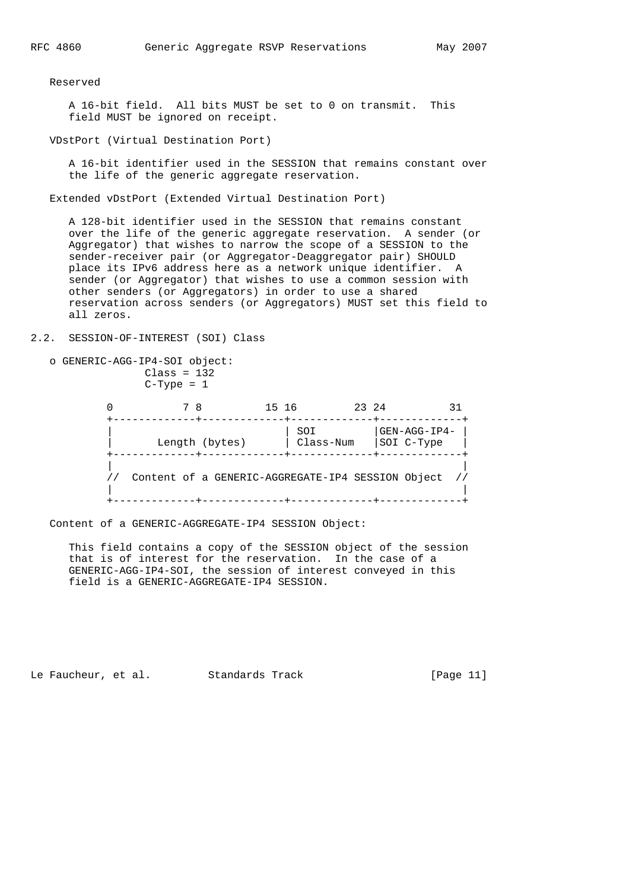Reserved

 A 16-bit field. All bits MUST be set to 0 on transmit. This field MUST be ignored on receipt.

VDstPort (Virtual Destination Port)

 A 16-bit identifier used in the SESSION that remains constant over the life of the generic aggregate reservation.

Extended vDstPort (Extended Virtual Destination Port)

 A 128-bit identifier used in the SESSION that remains constant over the life of the generic aggregate reservation. A sender (or Aggregator) that wishes to narrow the scope of a SESSION to the sender-receiver pair (or Aggregator-Deaggregator pair) SHOULD place its IPv6 address here as a network unique identifier. A sender (or Aggregator) that wishes to use a common session with other senders (or Aggregators) in order to use a shared reservation across senders (or Aggregators) MUST set this field to all zeros.

#### 2.2. SESSION-OF-INTEREST (SOI) Class

 o GENERIC-AGG-IP4-SOI object:  $Class = 132$  $C-Type = 1$ 

|  | 15 16                                             |                  | 23 24      |              |
|--|---------------------------------------------------|------------------|------------|--------------|
|  | Length (bytes)                                    | SOI<br>Class-Num | SOI C-Type | GEN-AGG-IP4- |
|  | Content of a GENERIC-AGGREGATE-IP4 SESSION Object |                  |            |              |

Content of a GENERIC-AGGREGATE-IP4 SESSION Object:

 This field contains a copy of the SESSION object of the session that is of interest for the reservation. In the case of a GENERIC-AGG-IP4-SOI, the session of interest conveyed in this field is a GENERIC-AGGREGATE-IP4 SESSION.

Le Faucheur, et al. Standards Track [Page 11]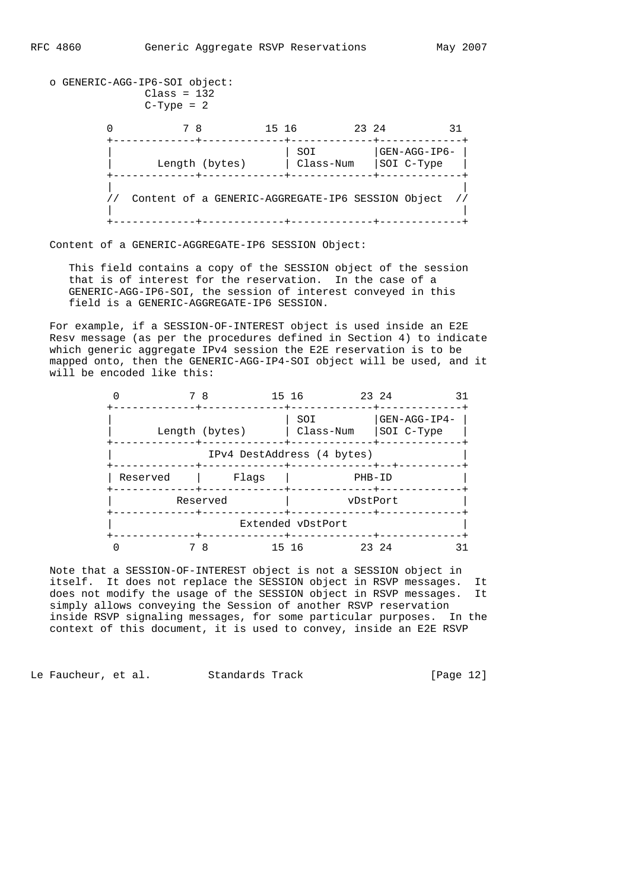| o GENERIC-AGG-IP6-SOI object: |    |                |                                                   |                            |
|-------------------------------|----|----------------|---------------------------------------------------|----------------------------|
|                               | 78 | 15 16          | 23 24                                             | 31                         |
|                               |    | Length (bytes) | SOI<br>Class-Num                                  | GEN-AGG-IP6-<br>SOI C-Type |
|                               |    |                | Content of a GENERIC-AGGREGATE-IP6 SESSION Object |                            |

Content of a GENERIC-AGGREGATE-IP6 SESSION Object:

 This field contains a copy of the SESSION object of the session that is of interest for the reservation. In the case of a GENERIC-AGG-IP6-SOI, the session of interest conveyed in this field is a GENERIC-AGGREGATE-IP6 SESSION.

 For example, if a SESSION-OF-INTEREST object is used inside an E2E Resv message (as per the procedures defined in Section 4) to indicate which generic aggregate IPv4 session the E2E reservation is to be mapped onto, then the GENERIC-AGG-IP4-SOI object will be used, and it will be encoded like this:

|          | 7 8            | 15 16                      | 23 24  |                               | 31 |
|----------|----------------|----------------------------|--------|-------------------------------|----|
|          | Length (bytes) | SOI<br>Class-Num           |        | $GEN-AGG-IP4-$<br> SOI C-Type |    |
|          |                | IPv4 DestAddress (4 bytes) |        |                               |    |
| Reserved | Flags          |                            | PHB-ID |                               |    |
|          | Reserved       |                            |        | vDstPort                      |    |
|          |                | Extended vDstPort          |        |                               |    |
|          | -8             | -16<br>15.                 | 23 24  |                               | 31 |

 Note that a SESSION-OF-INTEREST object is not a SESSION object in itself. It does not replace the SESSION object in RSVP messages. It does not modify the usage of the SESSION object in RSVP messages. It simply allows conveying the Session of another RSVP reservation inside RSVP signaling messages, for some particular purposes. In the context of this document, it is used to convey, inside an E2E RSVP

Le Faucheur, et al. Standards Track [Page 12]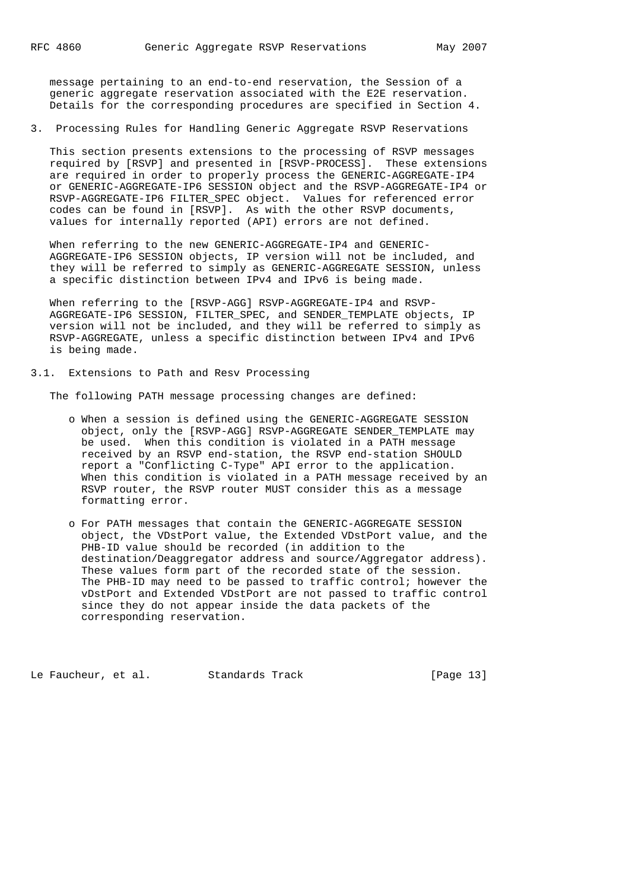message pertaining to an end-to-end reservation, the Session of a generic aggregate reservation associated with the E2E reservation. Details for the corresponding procedures are specified in Section 4.

3. Processing Rules for Handling Generic Aggregate RSVP Reservations

 This section presents extensions to the processing of RSVP messages required by [RSVP] and presented in [RSVP-PROCESS]. These extensions are required in order to properly process the GENERIC-AGGREGATE-IP4 or GENERIC-AGGREGATE-IP6 SESSION object and the RSVP-AGGREGATE-IP4 or RSVP-AGGREGATE-IP6 FILTER\_SPEC object. Values for referenced error codes can be found in [RSVP]. As with the other RSVP documents, values for internally reported (API) errors are not defined.

 When referring to the new GENERIC-AGGREGATE-IP4 and GENERIC- AGGREGATE-IP6 SESSION objects, IP version will not be included, and they will be referred to simply as GENERIC-AGGREGATE SESSION, unless a specific distinction between IPv4 and IPv6 is being made.

 When referring to the [RSVP-AGG] RSVP-AGGREGATE-IP4 and RSVP- AGGREGATE-IP6 SESSION, FILTER\_SPEC, and SENDER\_TEMPLATE objects, IP version will not be included, and they will be referred to simply as RSVP-AGGREGATE, unless a specific distinction between IPv4 and IPv6 is being made.

3.1. Extensions to Path and Resv Processing

The following PATH message processing changes are defined:

- o When a session is defined using the GENERIC-AGGREGATE SESSION object, only the [RSVP-AGG] RSVP-AGGREGATE SENDER\_TEMPLATE may be used. When this condition is violated in a PATH message received by an RSVP end-station, the RSVP end-station SHOULD report a "Conflicting C-Type" API error to the application. When this condition is violated in a PATH message received by an RSVP router, the RSVP router MUST consider this as a message formatting error.
- o For PATH messages that contain the GENERIC-AGGREGATE SESSION object, the VDstPort value, the Extended VDstPort value, and the PHB-ID value should be recorded (in addition to the destination/Deaggregator address and source/Aggregator address). These values form part of the recorded state of the session. The PHB-ID may need to be passed to traffic control; however the vDstPort and Extended VDstPort are not passed to traffic control since they do not appear inside the data packets of the corresponding reservation.

Le Faucheur, et al. Standards Track [Page 13]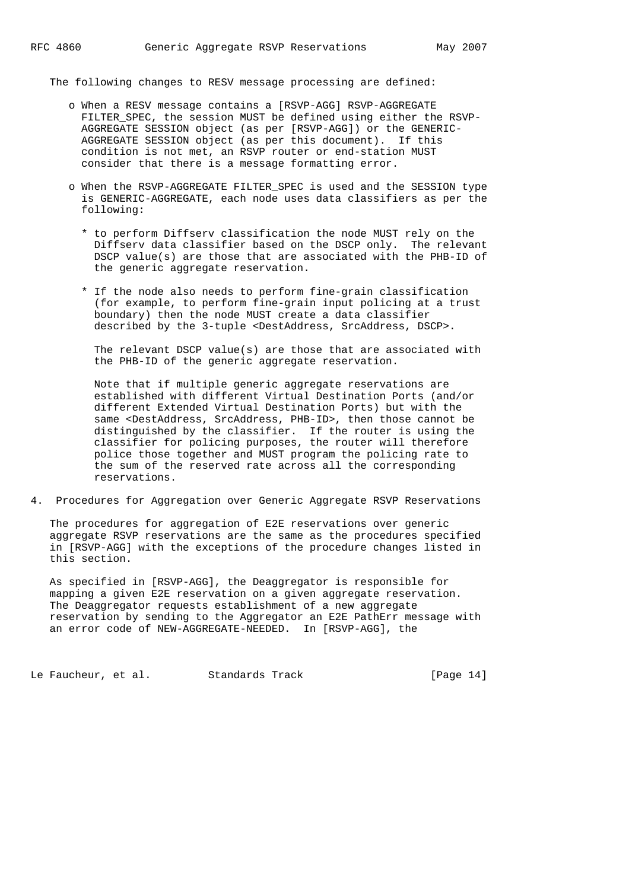The following changes to RESV message processing are defined:

- o When a RESV message contains a [RSVP-AGG] RSVP-AGGREGATE FILTER\_SPEC, the session MUST be defined using either the RSVP- AGGREGATE SESSION object (as per [RSVP-AGG]) or the GENERIC- AGGREGATE SESSION object (as per this document). If this condition is not met, an RSVP router or end-station MUST consider that there is a message formatting error.
- o When the RSVP-AGGREGATE FILTER\_SPEC is used and the SESSION type is GENERIC-AGGREGATE, each node uses data classifiers as per the following:
	- \* to perform Diffserv classification the node MUST rely on the Diffserv data classifier based on the DSCP only. The relevant DSCP value(s) are those that are associated with the PHB-ID of the generic aggregate reservation.
	- \* If the node also needs to perform fine-grain classification (for example, to perform fine-grain input policing at a trust boundary) then the node MUST create a data classifier described by the 3-tuple <DestAddress, SrcAddress, DSCP>.

 The relevant DSCP value(s) are those that are associated with the PHB-ID of the generic aggregate reservation.

 Note that if multiple generic aggregate reservations are established with different Virtual Destination Ports (and/or different Extended Virtual Destination Ports) but with the same <DestAddress, SrcAddress, PHB-ID>, then those cannot be distinguished by the classifier. If the router is using the classifier for policing purposes, the router will therefore police those together and MUST program the policing rate to the sum of the reserved rate across all the corresponding reservations.

4. Procedures for Aggregation over Generic Aggregate RSVP Reservations

 The procedures for aggregation of E2E reservations over generic aggregate RSVP reservations are the same as the procedures specified in [RSVP-AGG] with the exceptions of the procedure changes listed in this section.

 As specified in [RSVP-AGG], the Deaggregator is responsible for mapping a given E2E reservation on a given aggregate reservation. The Deaggregator requests establishment of a new aggregate reservation by sending to the Aggregator an E2E PathErr message with an error code of NEW-AGGREGATE-NEEDED. In [RSVP-AGG], the

Le Faucheur, et al. Standards Track [Page 14]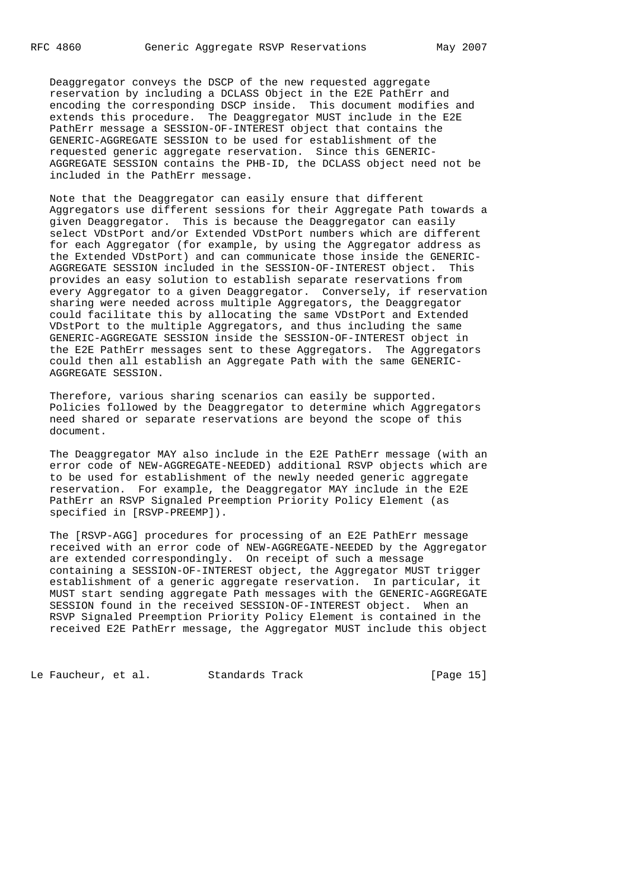Deaggregator conveys the DSCP of the new requested aggregate reservation by including a DCLASS Object in the E2E PathErr and encoding the corresponding DSCP inside. This document modifies and extends this procedure. The Deaggregator MUST include in the E2E PathErr message a SESSION-OF-INTEREST object that contains the GENERIC-AGGREGATE SESSION to be used for establishment of the requested generic aggregate reservation. Since this GENERIC- AGGREGATE SESSION contains the PHB-ID, the DCLASS object need not be included in the PathErr message.

 Note that the Deaggregator can easily ensure that different Aggregators use different sessions for their Aggregate Path towards a given Deaggregator. This is because the Deaggregator can easily select VDstPort and/or Extended VDstPort numbers which are different for each Aggregator (for example, by using the Aggregator address as the Extended VDstPort) and can communicate those inside the GENERIC- AGGREGATE SESSION included in the SESSION-OF-INTEREST object. This provides an easy solution to establish separate reservations from every Aggregator to a given Deaggregator. Conversely, if reservation sharing were needed across multiple Aggregators, the Deaggregator could facilitate this by allocating the same VDstPort and Extended VDstPort to the multiple Aggregators, and thus including the same GENERIC-AGGREGATE SESSION inside the SESSION-OF-INTEREST object in the E2E PathErr messages sent to these Aggregators. The Aggregators could then all establish an Aggregate Path with the same GENERIC- AGGREGATE SESSION.

 Therefore, various sharing scenarios can easily be supported. Policies followed by the Deaggregator to determine which Aggregators need shared or separate reservations are beyond the scope of this document.

 The Deaggregator MAY also include in the E2E PathErr message (with an error code of NEW-AGGREGATE-NEEDED) additional RSVP objects which are to be used for establishment of the newly needed generic aggregate reservation. For example, the Deaggregator MAY include in the E2E PathErr an RSVP Signaled Preemption Priority Policy Element (as specified in [RSVP-PREEMP]).

 The [RSVP-AGG] procedures for processing of an E2E PathErr message received with an error code of NEW-AGGREGATE-NEEDED by the Aggregator are extended correspondingly. On receipt of such a message containing a SESSION-OF-INTEREST object, the Aggregator MUST trigger establishment of a generic aggregate reservation. In particular, it MUST start sending aggregate Path messages with the GENERIC-AGGREGATE SESSION found in the received SESSION-OF-INTEREST object. When an RSVP Signaled Preemption Priority Policy Element is contained in the received E2E PathErr message, the Aggregator MUST include this object

Le Faucheur, et al. Standards Track [Page 15]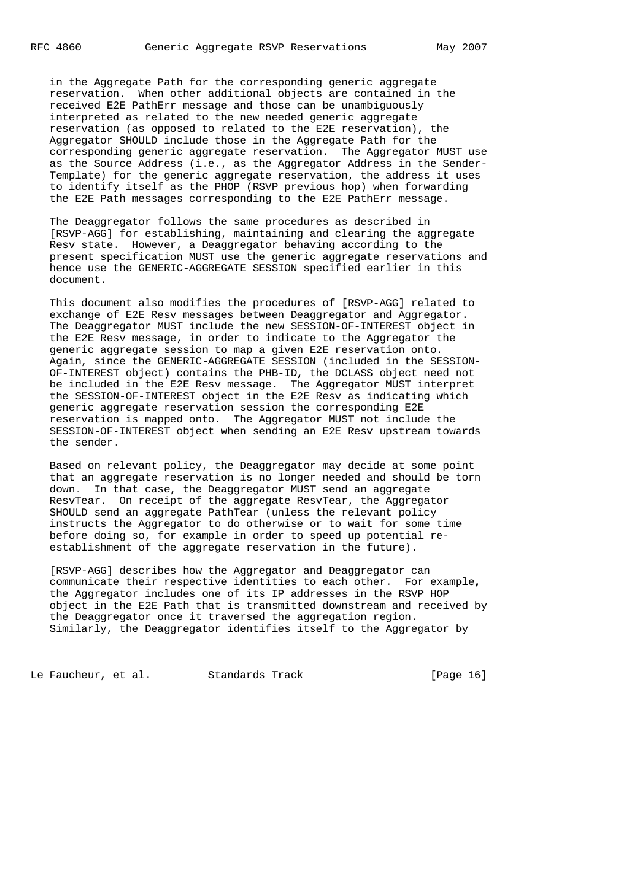in the Aggregate Path for the corresponding generic aggregate reservation. When other additional objects are contained in the received E2E PathErr message and those can be unambiguously interpreted as related to the new needed generic aggregate reservation (as opposed to related to the E2E reservation), the Aggregator SHOULD include those in the Aggregate Path for the corresponding generic aggregate reservation. The Aggregator MUST use as the Source Address (i.e., as the Aggregator Address in the Sender- Template) for the generic aggregate reservation, the address it uses to identify itself as the PHOP (RSVP previous hop) when forwarding the E2E Path messages corresponding to the E2E PathErr message.

 The Deaggregator follows the same procedures as described in [RSVP-AGG] for establishing, maintaining and clearing the aggregate Resv state. However, a Deaggregator behaving according to the present specification MUST use the generic aggregate reservations and hence use the GENERIC-AGGREGATE SESSION specified earlier in this document.

 This document also modifies the procedures of [RSVP-AGG] related to exchange of E2E Resv messages between Deaggregator and Aggregator. The Deaggregator MUST include the new SESSION-OF-INTEREST object in the E2E Resv message, in order to indicate to the Aggregator the generic aggregate session to map a given E2E reservation onto. Again, since the GENERIC-AGGREGATE SESSION (included in the SESSION- OF-INTEREST object) contains the PHB-ID, the DCLASS object need not be included in the E2E Resv message. The Aggregator MUST interpret the SESSION-OF-INTEREST object in the E2E Resv as indicating which generic aggregate reservation session the corresponding E2E reservation is mapped onto. The Aggregator MUST not include the SESSION-OF-INTEREST object when sending an E2E Resv upstream towards the sender.

 Based on relevant policy, the Deaggregator may decide at some point that an aggregate reservation is no longer needed and should be torn down. In that case, the Deaggregator MUST send an aggregate ResvTear. On receipt of the aggregate ResvTear, the Aggregator SHOULD send an aggregate PathTear (unless the relevant policy instructs the Aggregator to do otherwise or to wait for some time before doing so, for example in order to speed up potential re establishment of the aggregate reservation in the future).

 [RSVP-AGG] describes how the Aggregator and Deaggregator can communicate their respective identities to each other. For example, the Aggregator includes one of its IP addresses in the RSVP HOP object in the E2E Path that is transmitted downstream and received by the Deaggregator once it traversed the aggregation region. Similarly, the Deaggregator identifies itself to the Aggregator by

Le Faucheur, et al. Standards Track [Page 16]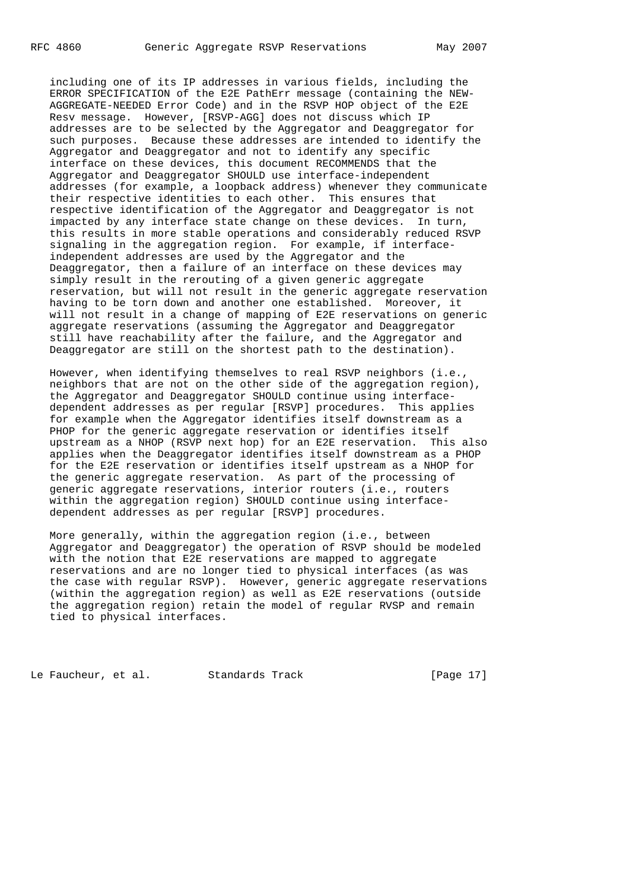including one of its IP addresses in various fields, including the ERROR SPECIFICATION of the E2E PathErr message (containing the NEW- AGGREGATE-NEEDED Error Code) and in the RSVP HOP object of the E2E Resv message. However, [RSVP-AGG] does not discuss which IP addresses are to be selected by the Aggregator and Deaggregator for such purposes. Because these addresses are intended to identify the Aggregator and Deaggregator and not to identify any specific interface on these devices, this document RECOMMENDS that the Aggregator and Deaggregator SHOULD use interface-independent addresses (for example, a loopback address) whenever they communicate their respective identities to each other. This ensures that respective identification of the Aggregator and Deaggregator is not impacted by any interface state change on these devices. In turn, this results in more stable operations and considerably reduced RSVP signaling in the aggregation region. For example, if interface independent addresses are used by the Aggregator and the Deaggregator, then a failure of an interface on these devices may simply result in the rerouting of a given generic aggregate reservation, but will not result in the generic aggregate reservation having to be torn down and another one established. Moreover, it will not result in a change of mapping of E2E reservations on generic aggregate reservations (assuming the Aggregator and Deaggregator still have reachability after the failure, and the Aggregator and Deaggregator are still on the shortest path to the destination).

 However, when identifying themselves to real RSVP neighbors (i.e., neighbors that are not on the other side of the aggregation region), the Aggregator and Deaggregator SHOULD continue using interface dependent addresses as per regular [RSVP] procedures. This applies for example when the Aggregator identifies itself downstream as a PHOP for the generic aggregate reservation or identifies itself upstream as a NHOP (RSVP next hop) for an E2E reservation. This also applies when the Deaggregator identifies itself downstream as a PHOP for the E2E reservation or identifies itself upstream as a NHOP for the generic aggregate reservation. As part of the processing of generic aggregate reservations, interior routers (i.e., routers within the aggregation region) SHOULD continue using interface dependent addresses as per regular [RSVP] procedures.

More generally, within the aggregation region (i.e., between Aggregator and Deaggregator) the operation of RSVP should be modeled with the notion that E2E reservations are mapped to aggregate reservations and are no longer tied to physical interfaces (as was the case with regular RSVP). However, generic aggregate reservations (within the aggregation region) as well as E2E reservations (outside the aggregation region) retain the model of regular RVSP and remain tied to physical interfaces.

Le Faucheur, et al. Standards Track [Page 17]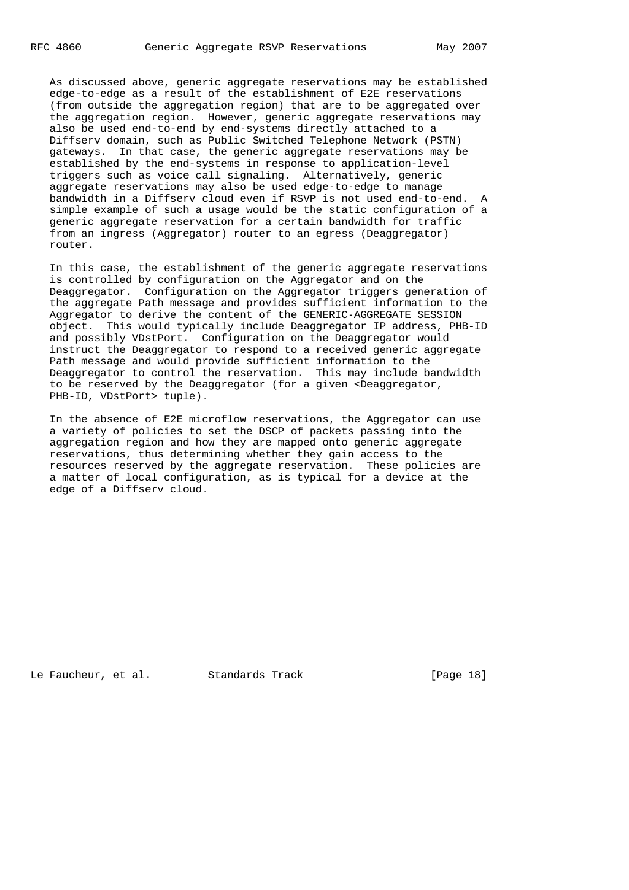As discussed above, generic aggregate reservations may be established edge-to-edge as a result of the establishment of E2E reservations (from outside the aggregation region) that are to be aggregated over the aggregation region. However, generic aggregate reservations may also be used end-to-end by end-systems directly attached to a Diffserv domain, such as Public Switched Telephone Network (PSTN) gateways. In that case, the generic aggregate reservations may be established by the end-systems in response to application-level triggers such as voice call signaling. Alternatively, generic aggregate reservations may also be used edge-to-edge to manage bandwidth in a Diffserv cloud even if RSVP is not used end-to-end. A simple example of such a usage would be the static configuration of a generic aggregate reservation for a certain bandwidth for traffic from an ingress (Aggregator) router to an egress (Deaggregator) router.

 In this case, the establishment of the generic aggregate reservations is controlled by configuration on the Aggregator and on the Deaggregator. Configuration on the Aggregator triggers generation of the aggregate Path message and provides sufficient information to the Aggregator to derive the content of the GENERIC-AGGREGATE SESSION object. This would typically include Deaggregator IP address, PHB-ID and possibly VDstPort. Configuration on the Deaggregator would instruct the Deaggregator to respond to a received generic aggregate Path message and would provide sufficient information to the Deaggregator to control the reservation. This may include bandwidth to be reserved by the Deaggregator (for a given <Deaggregator, PHB-ID, VDstPort> tuple).

 In the absence of E2E microflow reservations, the Aggregator can use a variety of policies to set the DSCP of packets passing into the aggregation region and how they are mapped onto generic aggregate reservations, thus determining whether they gain access to the resources reserved by the aggregate reservation. These policies are a matter of local configuration, as is typical for a device at the edge of a Diffserv cloud.

Le Faucheur, et al. Standards Track [Page 18]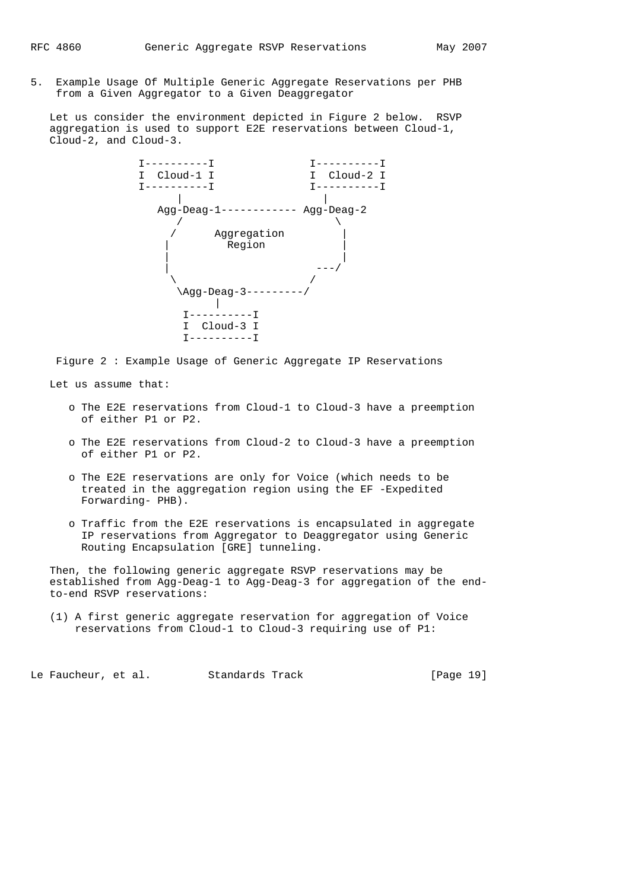5. Example Usage Of Multiple Generic Aggregate Reservations per PHB from a Given Aggregator to a Given Deaggregator

 Let us consider the environment depicted in Figure 2 below. RSVP aggregation is used to support E2E reservations between Cloud-1, Cloud-2, and Cloud-3.



Figure 2 : Example Usage of Generic Aggregate IP Reservations

Let us assume that:

- o The E2E reservations from Cloud-1 to Cloud-3 have a preemption of either P1 or P2.
- o The E2E reservations from Cloud-2 to Cloud-3 have a preemption of either P1 or P2.
- o The E2E reservations are only for Voice (which needs to be treated in the aggregation region using the EF -Expedited Forwarding- PHB).
- o Traffic from the E2E reservations is encapsulated in aggregate IP reservations from Aggregator to Deaggregator using Generic Routing Encapsulation [GRE] tunneling.

 Then, the following generic aggregate RSVP reservations may be established from Agg-Deag-1 to Agg-Deag-3 for aggregation of the end to-end RSVP reservations:

 (1) A first generic aggregate reservation for aggregation of Voice reservations from Cloud-1 to Cloud-3 requiring use of P1:

Le Faucheur, et al. Standards Track [Page 19]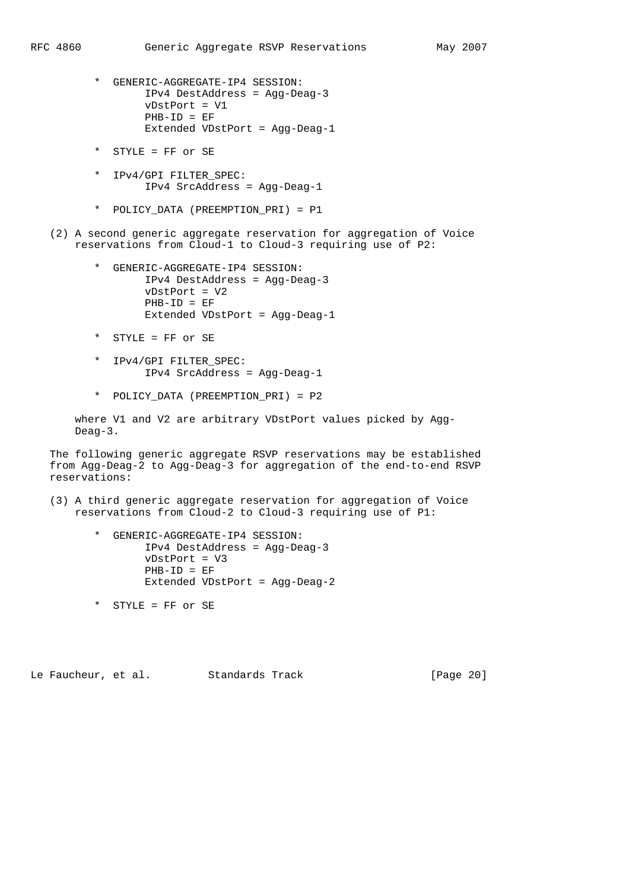- \* GENERIC-AGGREGATE-IP4 SESSION: IPv4 DestAddress = Agg-Deag-3 vDstPort = V1  $PHB-ID = EF$ Extended VDstPort = Agg-Deag-1
- \* STYLE = FF or SE
- \* IPv4/GPI FILTER\_SPEC: IPv4 SrcAddress = Agg-Deag-1
- \* POLICY\_DATA (PREEMPTION\_PRI) = P1
- (2) A second generic aggregate reservation for aggregation of Voice reservations from Cloud-1 to Cloud-3 requiring use of P2:
	- \* GENERIC-AGGREGATE-IP4 SESSION: IPv4 DestAddress = Agg-Deag-3 vDstPort = V2  $PHB-ID = EF$ Extended VDstPort = Agg-Deag-1
	- \* STYLE = FF or SE
	- \* IPv4/GPI FILTER\_SPEC: IPv4 SrcAddress = Agg-Deag-1
	- \* POLICY\_DATA (PREEMPTION\_PRI) = P2

 where V1 and V2 are arbitrary VDstPort values picked by Agg- Deag-3.

 The following generic aggregate RSVP reservations may be established from Agg-Deag-2 to Agg-Deag-3 for aggregation of the end-to-end RSVP reservations:

- (3) A third generic aggregate reservation for aggregation of Voice reservations from Cloud-2 to Cloud-3 requiring use of P1:
	- \* GENERIC-AGGREGATE-IP4 SESSION: IPv4 DestAddress = Agg-Deag-3 vDstPort = V3  $PHB-ID = EF$ Extended VDstPort = Agg-Deag-2
	- \* STYLE = FF or SE

Le Faucheur, et al. Standards Track [Page 20]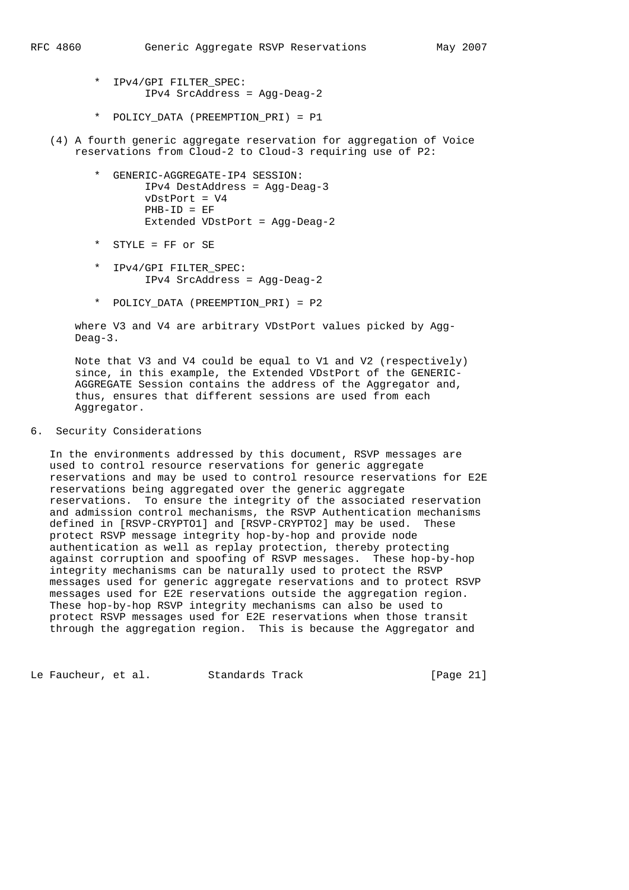- \* IPv4/GPI FILTER\_SPEC: IPv4 SrcAddress = Agg-Deag-2
- \* POLICY\_DATA (PREEMPTION\_PRI) = P1
- (4) A fourth generic aggregate reservation for aggregation of Voice reservations from Cloud-2 to Cloud-3 requiring use of P2:
	- \* GENERIC-AGGREGATE-IP4 SESSION: IPv4 DestAddress = Agg-Deag-3 vDstPort = V4  $PHB-ID = EF$ Extended VDstPort = Agg-Deag-2

\* STYLE = FF or SE

- \* IPv4/GPI FILTER\_SPEC: IPv4 SrcAddress = Agg-Deag-2
- \* POLICY\_DATA (PREEMPTION\_PRI) = P2

 where V3 and V4 are arbitrary VDstPort values picked by Agg- Deag-3.

 Note that V3 and V4 could be equal to V1 and V2 (respectively) since, in this example, the Extended VDstPort of the GENERIC- AGGREGATE Session contains the address of the Aggregator and, thus, ensures that different sessions are used from each Aggregator.

### 6. Security Considerations

 In the environments addressed by this document, RSVP messages are used to control resource reservations for generic aggregate reservations and may be used to control resource reservations for E2E reservations being aggregated over the generic aggregate reservations. To ensure the integrity of the associated reservation and admission control mechanisms, the RSVP Authentication mechanisms defined in [RSVP-CRYPTO1] and [RSVP-CRYPTO2] may be used. These protect RSVP message integrity hop-by-hop and provide node authentication as well as replay protection, thereby protecting against corruption and spoofing of RSVP messages. These hop-by-hop integrity mechanisms can be naturally used to protect the RSVP messages used for generic aggregate reservations and to protect RSVP messages used for E2E reservations outside the aggregation region. These hop-by-hop RSVP integrity mechanisms can also be used to protect RSVP messages used for E2E reservations when those transit through the aggregation region. This is because the Aggregator and

Le Faucheur, et al. Standards Track [Page 21]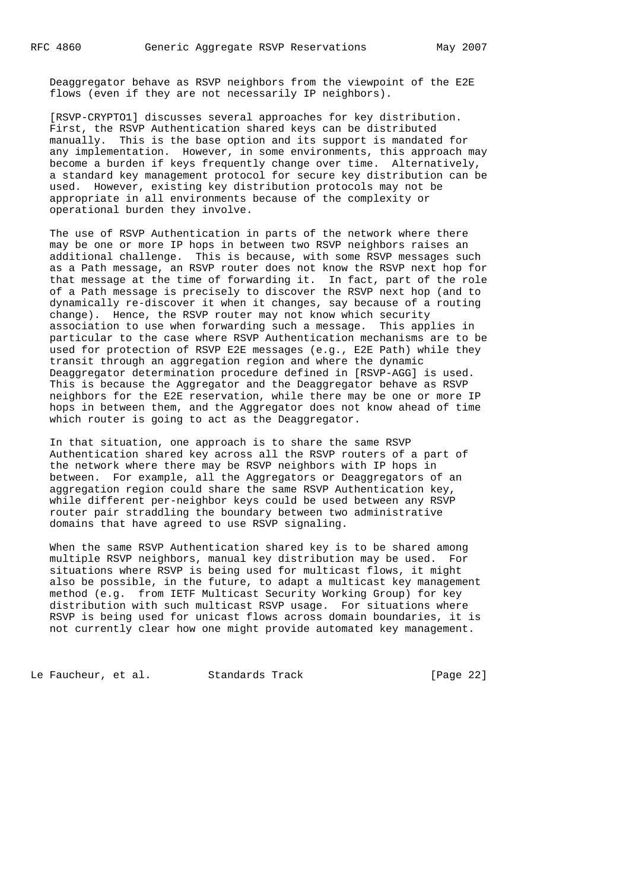Deaggregator behave as RSVP neighbors from the viewpoint of the E2E flows (even if they are not necessarily IP neighbors).

 [RSVP-CRYPTO1] discusses several approaches for key distribution. First, the RSVP Authentication shared keys can be distributed manually. This is the base option and its support is mandated for any implementation. However, in some environments, this approach may become a burden if keys frequently change over time. Alternatively, a standard key management protocol for secure key distribution can be used. However, existing key distribution protocols may not be appropriate in all environments because of the complexity or operational burden they involve.

 The use of RSVP Authentication in parts of the network where there may be one or more IP hops in between two RSVP neighbors raises an additional challenge. This is because, with some RSVP messages such as a Path message, an RSVP router does not know the RSVP next hop for that message at the time of forwarding it. In fact, part of the role of a Path message is precisely to discover the RSVP next hop (and to dynamically re-discover it when it changes, say because of a routing change). Hence, the RSVP router may not know which security association to use when forwarding such a message. This applies in particular to the case where RSVP Authentication mechanisms are to be used for protection of RSVP E2E messages (e.g., E2E Path) while they transit through an aggregation region and where the dynamic Deaggregator determination procedure defined in [RSVP-AGG] is used. This is because the Aggregator and the Deaggregator behave as RSVP neighbors for the E2E reservation, while there may be one or more IP hops in between them, and the Aggregator does not know ahead of time which router is going to act as the Deaggregator.

 In that situation, one approach is to share the same RSVP Authentication shared key across all the RSVP routers of a part of the network where there may be RSVP neighbors with IP hops in between. For example, all the Aggregators or Deaggregators of an aggregation region could share the same RSVP Authentication key, while different per-neighbor keys could be used between any RSVP router pair straddling the boundary between two administrative domains that have agreed to use RSVP signaling.

 When the same RSVP Authentication shared key is to be shared among multiple RSVP neighbors, manual key distribution may be used. For situations where RSVP is being used for multicast flows, it might also be possible, in the future, to adapt a multicast key management method (e.g. from IETF Multicast Security Working Group) for key distribution with such multicast RSVP usage. For situations where RSVP is being used for unicast flows across domain boundaries, it is not currently clear how one might provide automated key management.

Le Faucheur, et al. Standards Track [Page 22]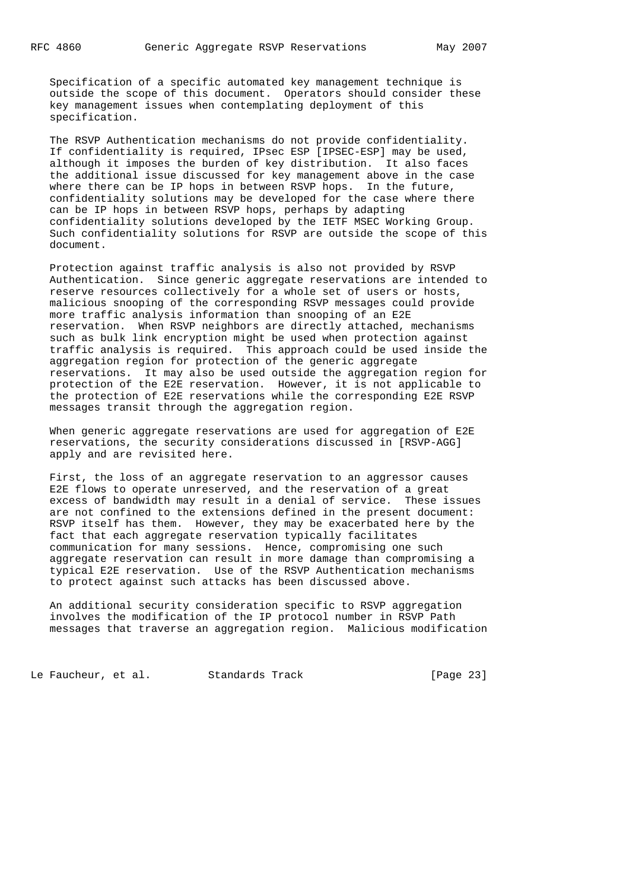Specification of a specific automated key management technique is outside the scope of this document. Operators should consider these key management issues when contemplating deployment of this specification.

 The RSVP Authentication mechanisms do not provide confidentiality. If confidentiality is required, IPsec ESP [IPSEC-ESP] may be used, although it imposes the burden of key distribution. It also faces the additional issue discussed for key management above in the case where there can be IP hops in between RSVP hops. In the future, confidentiality solutions may be developed for the case where there can be IP hops in between RSVP hops, perhaps by adapting confidentiality solutions developed by the IETF MSEC Working Group. Such confidentiality solutions for RSVP are outside the scope of this document.

 Protection against traffic analysis is also not provided by RSVP Authentication. Since generic aggregate reservations are intended to reserve resources collectively for a whole set of users or hosts, malicious snooping of the corresponding RSVP messages could provide more traffic analysis information than snooping of an E2E reservation. When RSVP neighbors are directly attached, mechanisms such as bulk link encryption might be used when protection against traffic analysis is required. This approach could be used inside the aggregation region for protection of the generic aggregate reservations. It may also be used outside the aggregation region for protection of the E2E reservation. However, it is not applicable to the protection of E2E reservations while the corresponding E2E RSVP messages transit through the aggregation region.

 When generic aggregate reservations are used for aggregation of E2E reservations, the security considerations discussed in [RSVP-AGG] apply and are revisited here.

 First, the loss of an aggregate reservation to an aggressor causes E2E flows to operate unreserved, and the reservation of a great excess of bandwidth may result in a denial of service. These issues are not confined to the extensions defined in the present document: RSVP itself has them. However, they may be exacerbated here by the fact that each aggregate reservation typically facilitates communication for many sessions. Hence, compromising one such aggregate reservation can result in more damage than compromising a typical E2E reservation. Use of the RSVP Authentication mechanisms to protect against such attacks has been discussed above.

 An additional security consideration specific to RSVP aggregation involves the modification of the IP protocol number in RSVP Path messages that traverse an aggregation region. Malicious modification

Le Faucheur, et al. Standards Track [Page 23]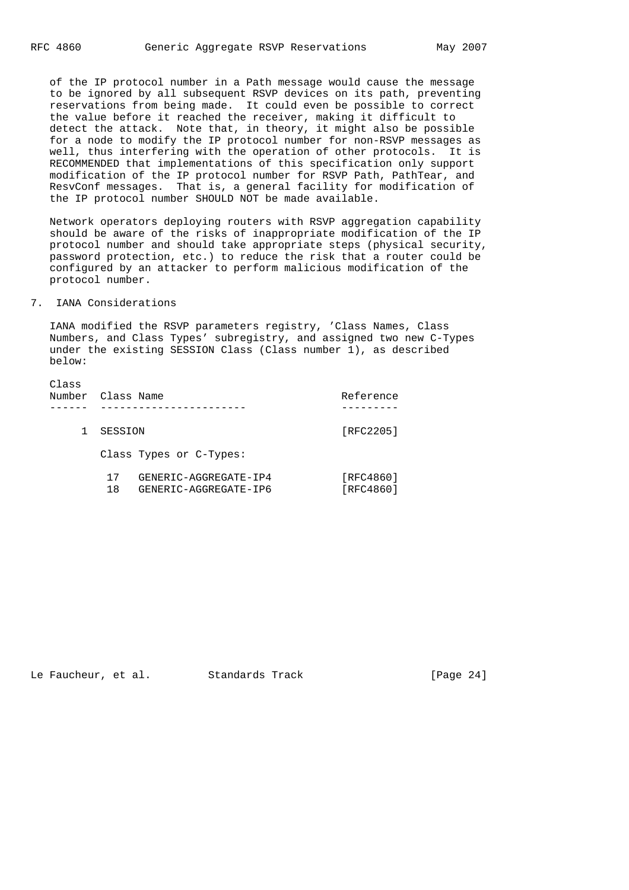of the IP protocol number in a Path message would cause the message to be ignored by all subsequent RSVP devices on its path, preventing reservations from being made. It could even be possible to correct the value before it reached the receiver, making it difficult to detect the attack. Note that, in theory, it might also be possible for a node to modify the IP protocol number for non-RSVP messages as well, thus interfering with the operation of other protocols. It is RECOMMENDED that implementations of this specification only support modification of the IP protocol number for RSVP Path, PathTear, and ResvConf messages. That is, a general facility for modification of the IP protocol number SHOULD NOT be made available.

 Network operators deploying routers with RSVP aggregation capability should be aware of the risks of inappropriate modification of the IP protocol number and should take appropriate steps (physical security, password protection, etc.) to reduce the risk that a router could be configured by an attacker to perform malicious modification of the protocol number.

### 7. IANA Considerations

 IANA modified the RSVP parameters registry, 'Class Names, Class Numbers, and Class Types' subregistry, and assigned two new C-Types under the existing SESSION Class (Class number 1), as described below:

| Class | Number Class Name                                          | Reference              |
|-------|------------------------------------------------------------|------------------------|
|       | SESSION                                                    | [RFC2205]              |
|       | Class Types or C-Types:                                    |                        |
|       | GENERIC-AGGREGATE-IP4<br>17<br>18<br>GENERIC-AGGREGATE-IP6 | [RFC4860]<br>[RFC4860] |

Le Faucheur, et al. Standards Track [Page 24]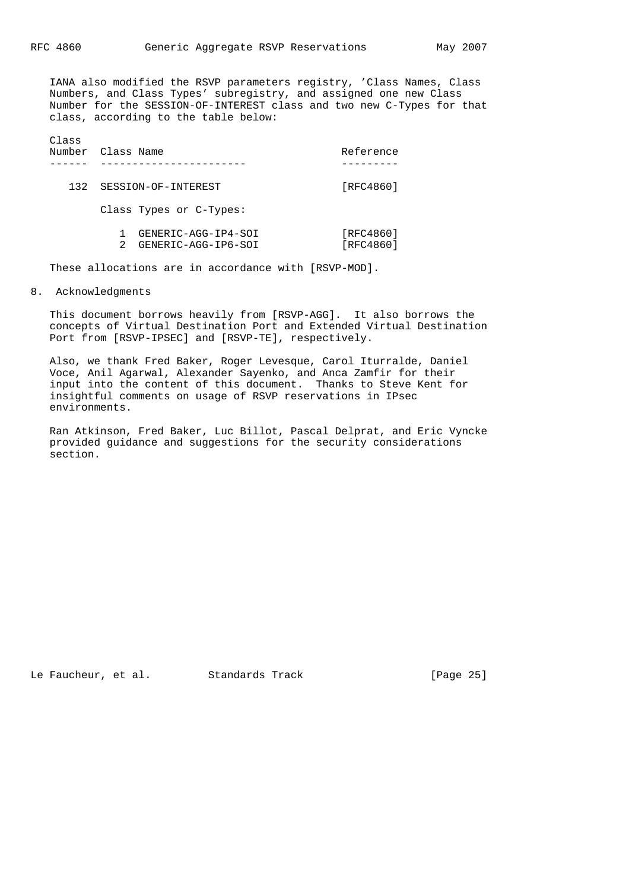IANA also modified the RSVP parameters registry, 'Class Names, Class Numbers, and Class Types' subregistry, and assigned one new Class Number for the SESSION-OF-INTEREST class and two new C-Types for that class, according to the table below:

| Class | Number Class Name                               | Reference              |
|-------|-------------------------------------------------|------------------------|
| 132   | SESSION-OF-INTEREST                             | [RFC4860]              |
|       | Class Types or C-Types:                         |                        |
|       | GENERIC-AGG-IP4-SOI<br>2<br>GENERIC-AGG-IP6-SOI | [RFC4860]<br>[RFC4860] |

These allocations are in accordance with [RSVP-MOD].

#### 8. Acknowledgments

 This document borrows heavily from [RSVP-AGG]. It also borrows the concepts of Virtual Destination Port and Extended Virtual Destination Port from [RSVP-IPSEC] and [RSVP-TE], respectively.

 Also, we thank Fred Baker, Roger Levesque, Carol Iturralde, Daniel Voce, Anil Agarwal, Alexander Sayenko, and Anca Zamfir for their input into the content of this document. Thanks to Steve Kent for insightful comments on usage of RSVP reservations in IPsec environments.

 Ran Atkinson, Fred Baker, Luc Billot, Pascal Delprat, and Eric Vyncke provided guidance and suggestions for the security considerations section.

Le Faucheur, et al. Standards Track [Page 25]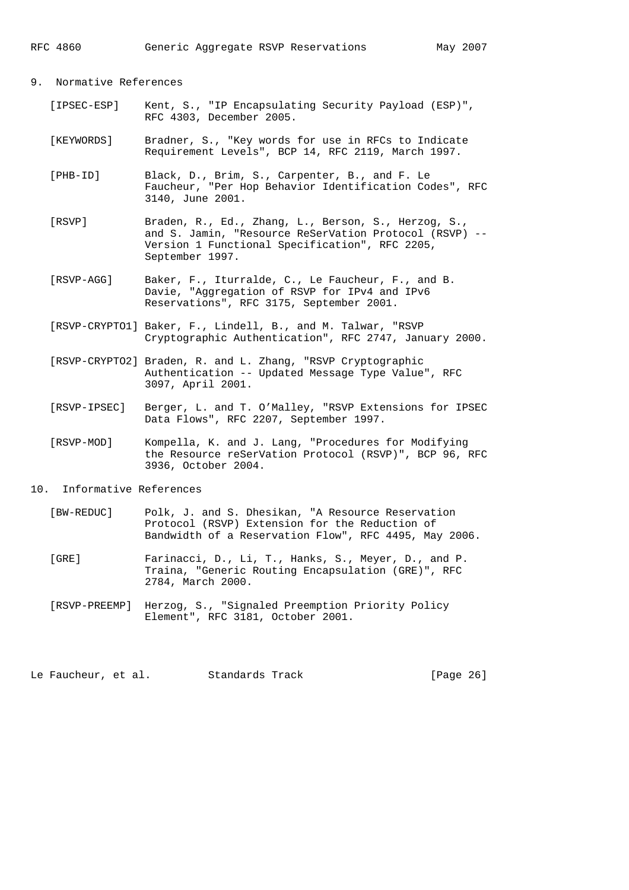#### 9. Normative References

- [IPSEC-ESP] Kent, S., "IP Encapsulating Security Payload (ESP)", RFC 4303, December 2005.
- [KEYWORDS] Bradner, S., "Key words for use in RFCs to Indicate Requirement Levels", BCP 14, RFC 2119, March 1997.
- [PHB-ID] Black, D., Brim, S., Carpenter, B., and F. Le Faucheur, "Per Hop Behavior Identification Codes", RFC 3140, June 2001.
- [RSVP] Braden, R., Ed., Zhang, L., Berson, S., Herzog, S., and S. Jamin, "Resource ReSerVation Protocol (RSVP) -- Version 1 Functional Specification", RFC 2205, September 1997.
- [RSVP-AGG] Baker, F., Iturralde, C., Le Faucheur, F., and B. Davie, "Aggregation of RSVP for IPv4 and IPv6 Reservations", RFC 3175, September 2001.
- [RSVP-CRYPTO1] Baker, F., Lindell, B., and M. Talwar, "RSVP Cryptographic Authentication", RFC 2747, January 2000.
- [RSVP-CRYPTO2] Braden, R. and L. Zhang, "RSVP Cryptographic Authentication -- Updated Message Type Value", RFC 3097, April 2001.
- [RSVP-IPSEC] Berger, L. and T. O'Malley, "RSVP Extensions for IPSEC Data Flows", RFC 2207, September 1997.
- [RSVP-MOD] Kompella, K. and J. Lang, "Procedures for Modifying the Resource reSerVation Protocol (RSVP)", BCP 96, RFC 3936, October 2004.
- 10. Informative References
	- [BW-REDUC] Polk, J. and S. Dhesikan, "A Resource Reservation Protocol (RSVP) Extension for the Reduction of Bandwidth of a Reservation Flow", RFC 4495, May 2006.
	- [GRE] Farinacci, D., Li, T., Hanks, S., Meyer, D., and P. Traina, "Generic Routing Encapsulation (GRE)", RFC 2784, March 2000.
	- [RSVP-PREEMP] Herzog, S., "Signaled Preemption Priority Policy Element", RFC 3181, October 2001.

Le Faucheur, et al. Standards Track [Page 26]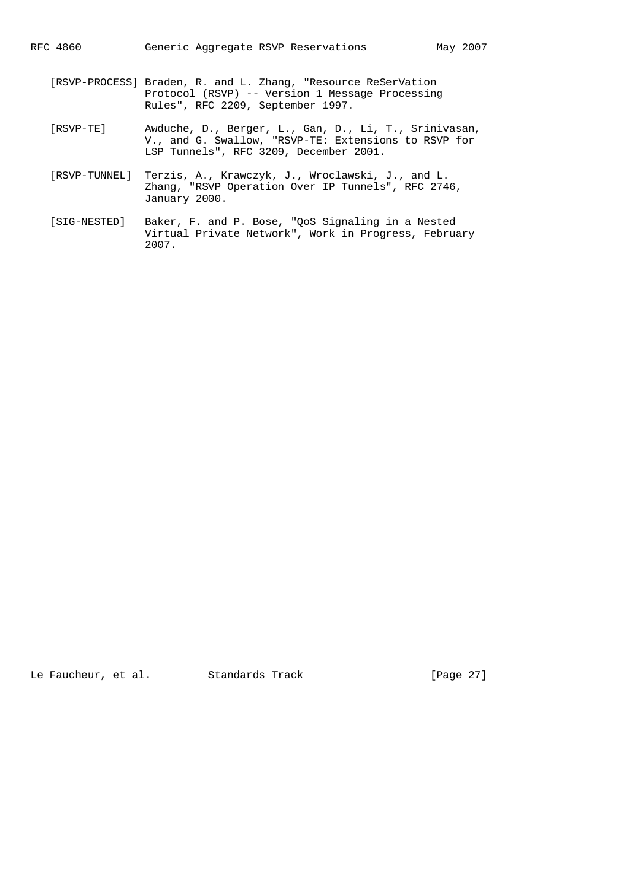- [RSVP-PROCESS] Braden, R. and L. Zhang, "Resource ReSerVation Protocol (RSVP) -- Version 1 Message Processing Rules", RFC 2209, September 1997.
- [RSVP-TE] Awduche, D., Berger, L., Gan, D., Li, T., Srinivasan, V., and G. Swallow, "RSVP-TE: Extensions to RSVP for LSP Tunnels", RFC 3209, December 2001.
	- [RSVP-TUNNEL] Terzis, A., Krawczyk, J., Wroclawski, J., and L. Zhang, "RSVP Operation Over IP Tunnels", RFC 2746, January 2000.
	- [SIG-NESTED] Baker, F. and P. Bose, "QoS Signaling in a Nested Virtual Private Network", Work in Progress, February 2007.

Le Faucheur, et al. Standards Track [Page 27]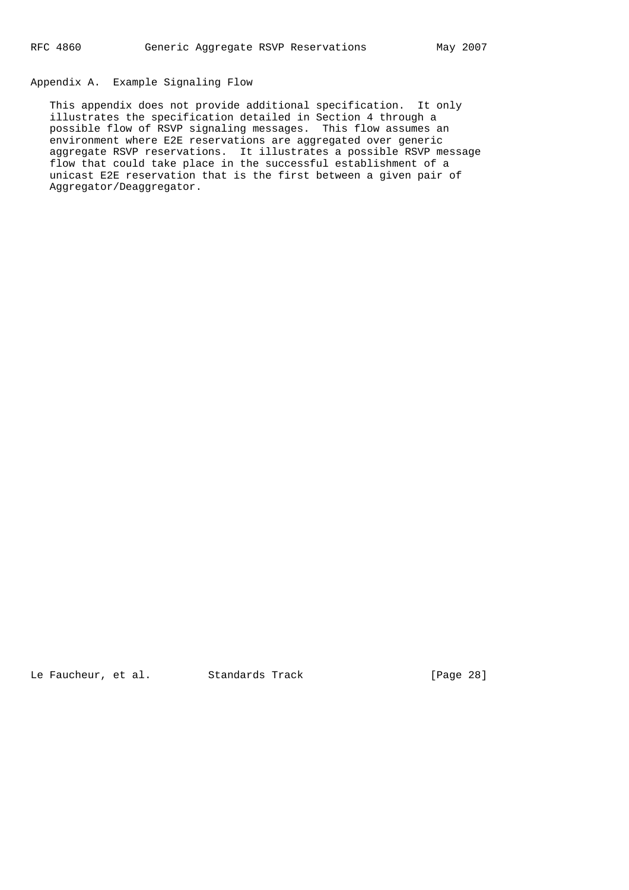## Appendix A. Example Signaling Flow

 This appendix does not provide additional specification. It only illustrates the specification detailed in Section 4 through a possible flow of RSVP signaling messages. This flow assumes an environment where E2E reservations are aggregated over generic aggregate RSVP reservations. It illustrates a possible RSVP message flow that could take place in the successful establishment of a unicast E2E reservation that is the first between a given pair of Aggregator/Deaggregator.

Le Faucheur, et al. Standards Track [Page 28]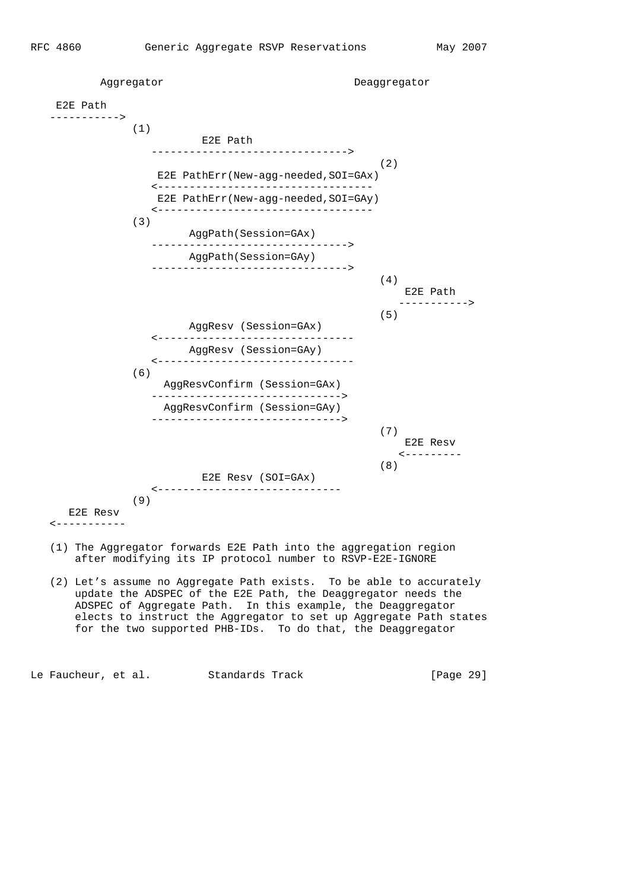

- <-----------
- (1) The Aggregator forwards E2E Path into the aggregation region after modifying its IP protocol number to RSVP-E2E-IGNORE
- (2) Let's assume no Aggregate Path exists. To be able to accurately update the ADSPEC of the E2E Path, the Deaggregator needs the ADSPEC of Aggregate Path. In this example, the Deaggregator elects to instruct the Aggregator to set up Aggregate Path states for the two supported PHB-IDs. To do that, the Deaggregator

Le Faucheur, et al. Standards Track [Page 29]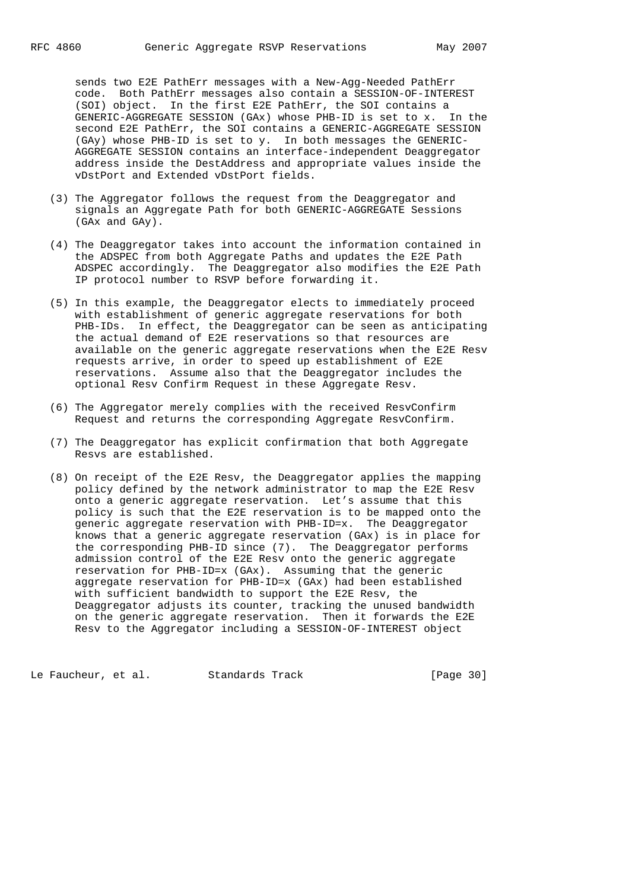sends two E2E PathErr messages with a New-Agg-Needed PathErr code. Both PathErr messages also contain a SESSION-OF-INTEREST (SOI) object. In the first E2E PathErr, the SOI contains a GENERIC-AGGREGATE SESSION (GAx) whose PHB-ID is set to x. In the second E2E PathErr, the SOI contains a GENERIC-AGGREGATE SESSION (GAy) whose PHB-ID is set to y. In both messages the GENERIC- AGGREGATE SESSION contains an interface-independent Deaggregator address inside the DestAddress and appropriate values inside the vDstPort and Extended vDstPort fields.

- (3) The Aggregator follows the request from the Deaggregator and signals an Aggregate Path for both GENERIC-AGGREGATE Sessions (GAx and GAy).
- (4) The Deaggregator takes into account the information contained in the ADSPEC from both Aggregate Paths and updates the E2E Path ADSPEC accordingly. The Deaggregator also modifies the E2E Path IP protocol number to RSVP before forwarding it.
- (5) In this example, the Deaggregator elects to immediately proceed with establishment of generic aggregate reservations for both PHB-IDs. In effect, the Deaggregator can be seen as anticipating the actual demand of E2E reservations so that resources are available on the generic aggregate reservations when the E2E Resv requests arrive, in order to speed up establishment of E2E reservations. Assume also that the Deaggregator includes the optional Resv Confirm Request in these Aggregate Resv.
- (6) The Aggregator merely complies with the received ResvConfirm Request and returns the corresponding Aggregate ResvConfirm.
- (7) The Deaggregator has explicit confirmation that both Aggregate Resvs are established.
- (8) On receipt of the E2E Resv, the Deaggregator applies the mapping policy defined by the network administrator to map the E2E Resv onto a generic aggregate reservation. Let's assume that this policy is such that the E2E reservation is to be mapped onto the generic aggregate reservation with PHB-ID=x. The Deaggregator knows that a generic aggregate reservation (GAx) is in place for the corresponding PHB-ID since (7). The Deaggregator performs admission control of the E2E Resv onto the generic aggregate reservation for PHB-ID=x (GAx). Assuming that the generic aggregate reservation for PHB-ID=x (GAx) had been established with sufficient bandwidth to support the E2E Resv, the Deaggregator adjusts its counter, tracking the unused bandwidth on the generic aggregate reservation. Then it forwards the E2E Resv to the Aggregator including a SESSION-OF-INTEREST object

Le Faucheur, et al. Standards Track [Page 30]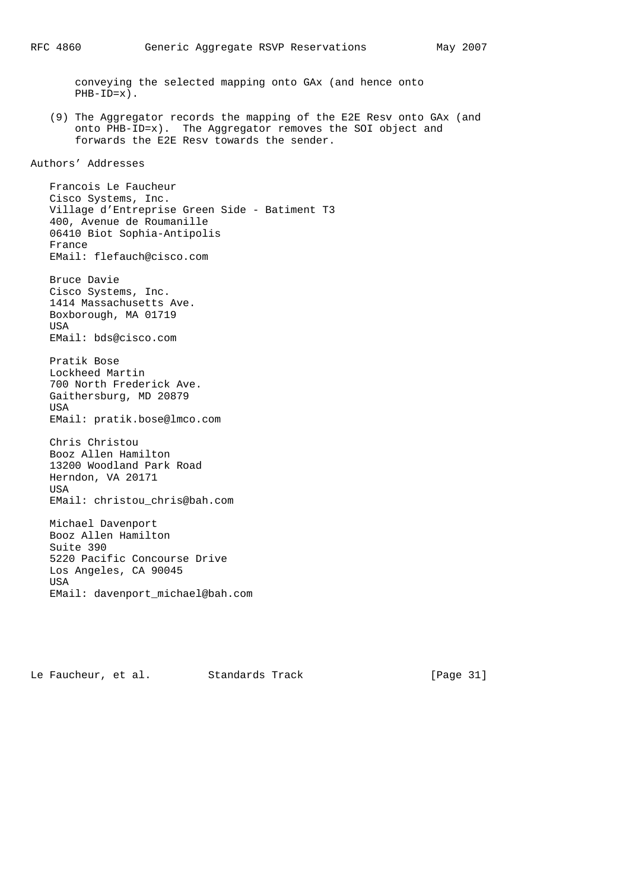conveying the selected mapping onto GAx (and hence onto PHB-ID=x). (9) The Aggregator records the mapping of the E2E Resv onto GAx (and onto PHB-ID=x). The Aggregator removes the SOI object and forwards the E2E Resv towards the sender. Authors' Addresses Francois Le Faucheur Cisco Systems, Inc. Village d'Entreprise Green Side - Batiment T3 400, Avenue de Roumanille 06410 Biot Sophia-Antipolis France EMail: flefauch@cisco.com Bruce Davie Cisco Systems, Inc. 1414 Massachusetts Ave. Boxborough, MA 01719 USA EMail: bds@cisco.com Pratik Bose Lockheed Martin 700 North Frederick Ave. Gaithersburg, MD 20879 USA EMail: pratik.bose@lmco.com Chris Christou Booz Allen Hamilton 13200 Woodland Park Road Herndon, VA 20171 USA EMail: christou\_chris@bah.com Michael Davenport Booz Allen Hamilton Suite 390 5220 Pacific Concourse Drive Los Angeles, CA 90045 USA EMail: davenport\_michael@bah.com

Le Faucheur, et al. Standards Track [Page 31]